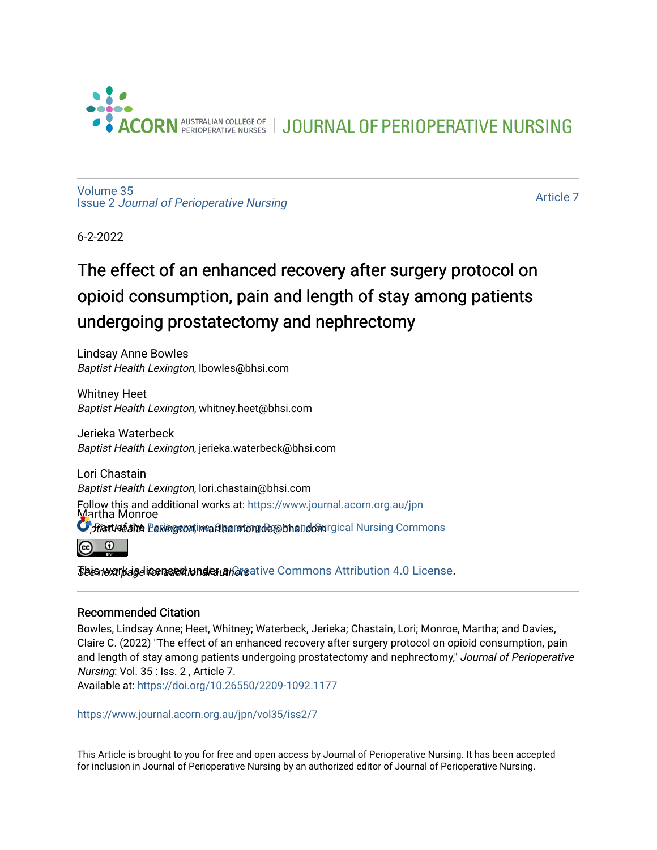

JOURNAL OF PERIOPERATIVE NURSING

[Volume 35](https://www.journal.acorn.org.au/jpn/vol35) Issue 2 [Journal of Perioperative Nursing](https://www.journal.acorn.org.au/jpn/vol35/iss2)

[Article 7](https://www.journal.acorn.org.au/jpn/vol35/iss2/7) 

6-2-2022

## The effect of an enhanced recovery after surgery protocol on opioid consumption, pain and length of stay among patients undergoing prostatectomy and nephrectomy

Lindsay Anne Bowles Baptist Health Lexington, lbowles@bhsi.com

Whitney Heet Baptist Health Lexington, whitney.heet@bhsi.com

Jerieka Waterbeck Baptist Health Lexington, jerieka.waterbeck@bhsi.com

Lori Chastain Baptist Health Lexington, lori.chastain@bhsi.com Follow this and additional works at: [https://www.journal.acorn.org.au/jpn](https://www.journal.acorn.org.au/jpn?utm_source=www.journal.acorn.org.au%2Fjpn%2Fvol35%2Fiss2%2F7&utm_medium=PDF&utm_campaign=PDFCoverPages)  Martha Monroe  $\Omega$  Hert I déalth Lexing continear the interpretation of the independent International Nursing Commons  $\odot$ 

 ${\it S}$ bisnextr ${\it k}$ agditer ${\it n}$ set ${\it k}$ under a ${\it k}$ or ative Commons Attribution 4.0 License.

#### Recommended Citation

Bowles, Lindsay Anne; Heet, Whitney; Waterbeck, Jerieka; Chastain, Lori; Monroe, Martha; and Davies, Claire C. (2022) "The effect of an enhanced recovery after surgery protocol on opioid consumption, pain and length of stay among patients undergoing prostatectomy and nephrectomy," Journal of Perioperative Nursing: Vol. 35 : Iss. 2 , Article 7.

Available at:<https://doi.org/10.26550/2209-1092.1177>

[https://www.journal.acorn.org.au/jpn/vol35/iss2/7](10.26550/2209-1092.1177?utm_source=www.journal.acorn.org.au%2Fjpn%2Fvol35%2Fiss2%2F7&utm_medium=PDF&utm_campaign=PDFCoverPages)

This Article is brought to you for free and open access by Journal of Perioperative Nursing. It has been accepted for inclusion in Journal of Perioperative Nursing by an authorized editor of Journal of Perioperative Nursing.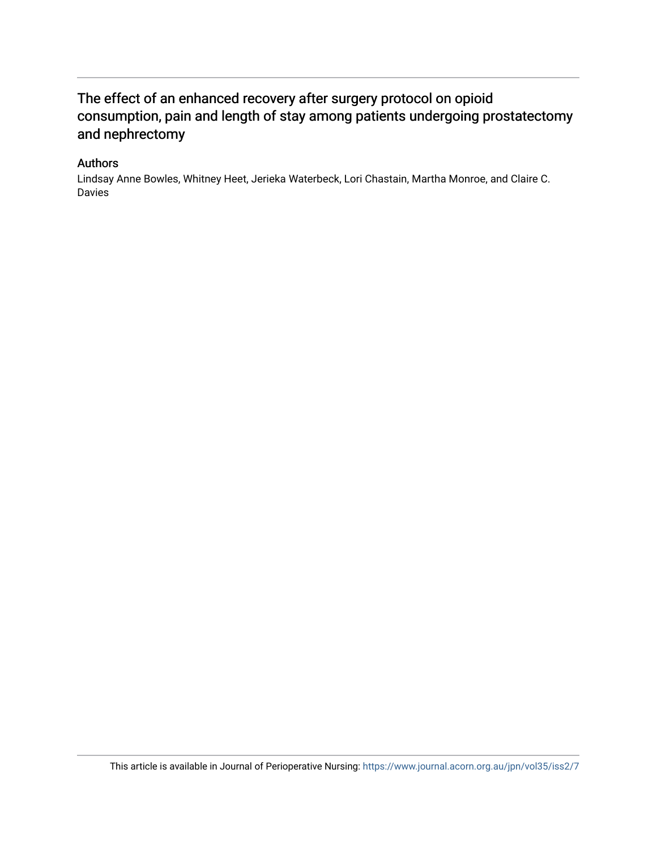## The effect of an enhanced recovery after surgery protocol on opioid consumption, pain and length of stay among patients undergoing prostatectomy and nephrectomy

#### Authors

Lindsay Anne Bowles, Whitney Heet, Jerieka Waterbeck, Lori Chastain, Martha Monroe, and Claire C. Davies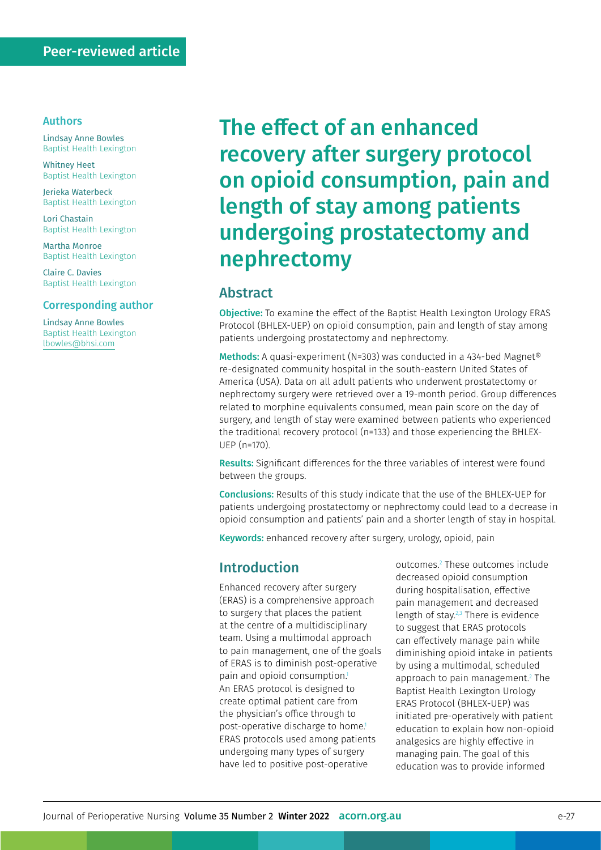#### Authors

Lindsay Anne Bowles Baptist Health Lexington

Whitney Heet Baptist Health Lexington

Jerieka Waterbeck Baptist Health Lexington

Lori Chastain Baptist Health Lexington

Martha Monroe Baptist Health Lexington

Claire C. Davies Baptist Health Lexington

#### Corresponding author

Lindsay Anne Bowles Baptist Health Lexington [lbowles@bhsi.com](mailto:lbowles%40bhsi.com?subject=)

# The effect of an enhanced recovery after surgery protocol on opioid consumption, pain and length of stay among patients undergoing prostatectomy and nephrectomy

## Abstract

Objective: To examine the effect of the Baptist Health Lexington Urology ERAS Protocol (BHLEX-UEP) on opioid consumption, pain and length of stay among patients undergoing prostatectomy and nephrectomy.

Methods: A quasi-experiment (N=303) was conducted in a 434-bed Magnet® re-designated community hospital in the south-eastern United States of America (USA). Data on all adult patients who underwent prostatectomy or nephrectomy surgery were retrieved over a 19-month period. Group differences related to morphine equivalents consumed, mean pain score on the day of surgery, and length of stay were examined between patients who experienced the traditional recovery protocol (n=133) and those experiencing the BHLEX-UEP (n=170).

Results: Significant differences for the three variables of interest were found between the groups.

Conclusions: Results of this study indicate that the use of the BHLEX-UEP for patients undergoing prostatectomy or nephrectomy could lead to a decrease in opioid consumption and patients' pain and a shorter length of stay in hospital.

Keywords: enhanced recovery after surgery, urology, opioid, pain

#### Introduction

Enhanced recovery after surgery (ERAS) is a comprehensive approach to surgery that places the patient at the centre of a multidisciplinary team. Using a multimodal approach to pain management, one of the goals of ERAS is to diminish post-operative pain and opioid consumption.<sup>1</sup> An ERAS protocol is designed to create optimal patient care from the physician's office through to post-operative discharge to home.<sup>1</sup> ERAS protocols used among patients undergoing many types of surgery have led to positive post-operative

outcomes.2 These outcomes include decreased opioid consumption during hospitalisation, effective pain management and decreased length of stay.2,3 There is evidence to suggest that ERAS protocols can effectively manage pain while diminishing opioid intake in patients by using a multimodal, scheduled approach to pain management.2 The Baptist Health Lexington Urology ERAS Protocol (BHLEX-UEP) was initiated pre-operatively with patient education to explain how non-opioid analgesics are highly effective in managing pain. The goal of this education was to provide informed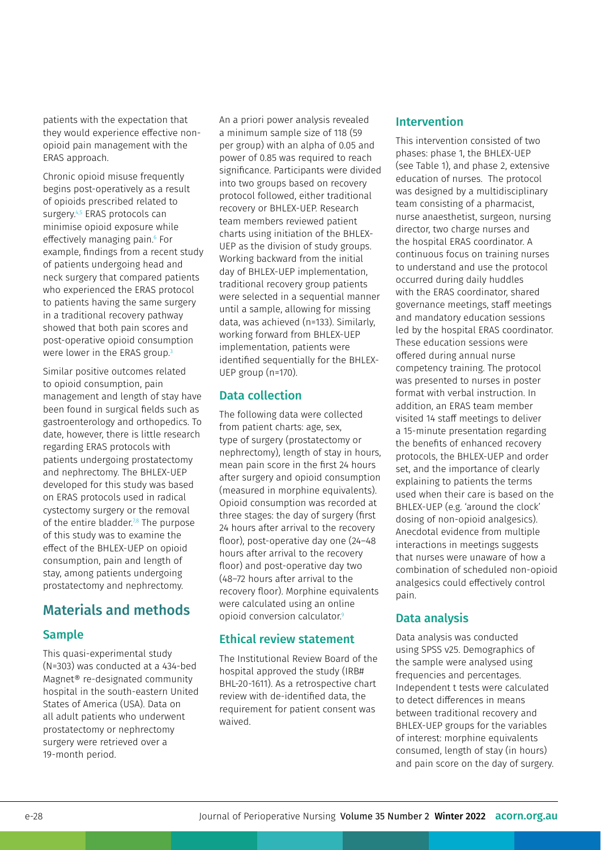patients with the expectation that they would experience effective nonopioid pain management with the ERAS approach.

Chronic opioid misuse frequently begins post-operatively as a result of opioids prescribed related to surgery.<sup>4,5</sup> ERAS protocols can minimise opioid exposure while effectively managing pain.6 For example, findings from a recent study of patients undergoing head and neck surgery that compared patients who experienced the ERAS protocol to patients having the same surgery in a traditional recovery pathway showed that both pain scores and post-operative opioid consumption were lower in the ERAS group.<sup>3</sup>

Similar positive outcomes related to opioid consumption, pain management and length of stay have been found in surgical fields such as gastroenterology and orthopedics. To date, however, there is little research regarding ERAS protocols with patients undergoing prostatectomy and nephrectomy. The BHLEX-UEP developed for this study was based on ERAS protocols used in radical cystectomy surgery or the removal of the entire bladder.<sup>7,8</sup> The purpose of this study was to examine the effect of the BHLEX-UEP on opioid consumption, pain and length of stay, among patients undergoing prostatectomy and nephrectomy.

## Materials and methods

## Sample

This quasi-experimental study (N=303) was conducted at a 434-bed Magnet® re-designated community hospital in the south-eastern United States of America (USA). Data on all adult patients who underwent prostatectomy or nephrectomy surgery were retrieved over a 19-month period.

An a priori power analysis revealed a minimum sample size of 118 (59 per group) with an alpha of 0.05 and power of 0.85 was required to reach significance. Participants were divided into two groups based on recovery protocol followed, either traditional recovery or BHLEX-UEP. Research team members reviewed patient charts using initiation of the BHLEX-UEP as the division of study groups. Working backward from the initial day of BHLEX-UEP implementation, traditional recovery group patients were selected in a sequential manner until a sample, allowing for missing data, was achieved (n=133). Similarly, working forward from BHLEX-UEP implementation, patients were identified sequentially for the BHLEX-UEP group (n=170).

## Data collection

The following data were collected from patient charts: age, sex, type of surgery (prostatectomy or nephrectomy), length of stay in hours, mean pain score in the first 24 hours after surgery and opioid consumption (measured in morphine equivalents). Opioid consumption was recorded at three stages: the day of surgery (first 24 hours after arrival to the recovery floor), post-operative day one (24–48 hours after arrival to the recovery floor) and post-operative day two (48–72 hours after arrival to the recovery floor). Morphine equivalents were calculated using an online opioid conversion calculator.9

## Ethical review statement

The Institutional Review Board of the hospital approved the study (IRB# BHL-20-1611). As a retrospective chart review with de-identified data, the requirement for patient consent was waived.

#### Intervention

This intervention consisted of two phases: phase 1, the BHLEX-UEP (see Table 1), and phase 2, extensive education of nurses. The protocol was designed by a multidisciplinary team consisting of a pharmacist, nurse anaesthetist, surgeon, nursing director, two charge nurses and the hospital ERAS coordinator. A continuous focus on training nurses to understand and use the protocol occurred during daily huddles with the ERAS coordinator, shared governance meetings, staff meetings and mandatory education sessions led by the hospital ERAS coordinator. These education sessions were offered during annual nurse competency training. The protocol was presented to nurses in poster format with verbal instruction. In addition, an ERAS team member visited 14 staff meetings to deliver a 15-minute presentation regarding the benefits of enhanced recovery protocols, the BHLEX-UEP and order set, and the importance of clearly explaining to patients the terms used when their care is based on the BHLEX-UEP (e.g. 'around the clock' dosing of non-opioid analgesics). Anecdotal evidence from multiple interactions in meetings suggests that nurses were unaware of how a combination of scheduled non-opioid analgesics could effectively control pain.

## Data analysis

Data analysis was conducted using SPSS v25. Demographics of the sample were analysed using frequencies and percentages. Independent t tests were calculated to detect differences in means between traditional recovery and BHLEX-UEP groups for the variables of interest: morphine equivalents consumed, length of stay (in hours) and pain score on the day of surgery.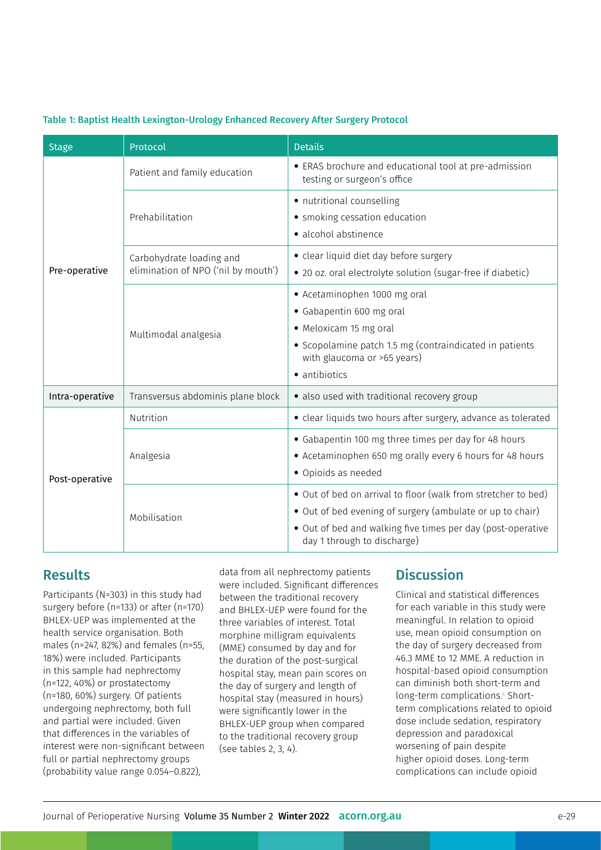| Table 1: Baptist Health Lexington-Urology Enhanced Recovery After Surgery Protocol |  |  |  |
|------------------------------------------------------------------------------------|--|--|--|
|                                                                                    |  |  |  |

| <b>Stage</b>    | Protocol                                                        | <b>Details</b>                                                                                                                                                                                                           |  |  |
|-----------------|-----------------------------------------------------------------|--------------------------------------------------------------------------------------------------------------------------------------------------------------------------------------------------------------------------|--|--|
| Pre-operative   | Patient and family education                                    | • ERAS brochure and educational tool at pre-admission<br>testing or surgeon's office                                                                                                                                     |  |  |
|                 | Prehabilitation                                                 | • nutritional counselling<br>• smoking cessation education<br>· alcohol abstinence                                                                                                                                       |  |  |
|                 | Carbohydrate loading and<br>elimination of NPO ('nil by mouth') | • clear liquid diet day before surgery<br>• 20 oz. oral electrolyte solution (sugar-free if diabetic)                                                                                                                    |  |  |
|                 | Multimodal analgesia                                            | • Acetaminophen 1000 mg oral<br>• Gabapentin 600 mg oral<br>• Meloxicam 15 mg oral<br>• Scopolamine patch 1.5 mg (contraindicated in patients<br>with glaucoma or >65 years)<br>• antibiotics                            |  |  |
| Intra-operative | Transversus abdominis plane block                               | · also used with traditional recovery group                                                                                                                                                                              |  |  |
|                 | Nutrition                                                       | • clear liquids two hours after surgery, advance as tolerated                                                                                                                                                            |  |  |
| Post-operative  | Analgesia                                                       | • Gabapentin 100 mg three times per day for 48 hours<br>• Acetaminophen 650 mg orally every 6 hours for 48 hours<br>· Opioids as needed                                                                                  |  |  |
|                 | Mobilisation                                                    | • Out of bed on arrival to floor (walk from stretcher to bed)<br>• Out of bed evening of surgery (ambulate or up to chair)<br>• Out of bed and walking five times per day (post-operative<br>day 1 through to discharge) |  |  |

## **Results**

Participants (N=303) in this study had surgery before (n=133) or after (n=170) BHLEX-UEP was implemented at the health service organisation. Both males (n=247, 82%) and females (n=55, 18%) were included. Participants in this sample had nephrectomy (n=122, 40%) or prostatectomy (n=180, 60%) surgery. Of patients undergoing nephrectomy, both full and partial were included. Given that differences in the variables of interest were non-significant between full or partial nephrectomy groups (probability value range 0.054–0.822),

data from all nephrectomy patients were included. Significant differences between the traditional recovery and BHLEX-UEP were found for the three variables of interest. Total morphine milligram equivalents (MME) consumed by day and for the duration of the post-surgical hospital stay, mean pain scores on the day of surgery and length of hospital stay (measured in hours) were significantly lower in the BHLEX-UEP group when compared to the traditional recovery group (see tables 2, 3, 4).

## **Discussion**

Clinical and statistical differences for each variable in this study were meaningful. In relation to opioid use, mean opioid consumption on the day of surgery decreased from 46.3 MME to 12 MME. A reduction in hospital-based opioid consumption can diminish both short-term and long-term complications.<sup>4</sup> Shortterm complications related to opioid dose include sedation, respiratory depression and paradoxical worsening of pain despite higher opioid doses. Long-term complications can include opioid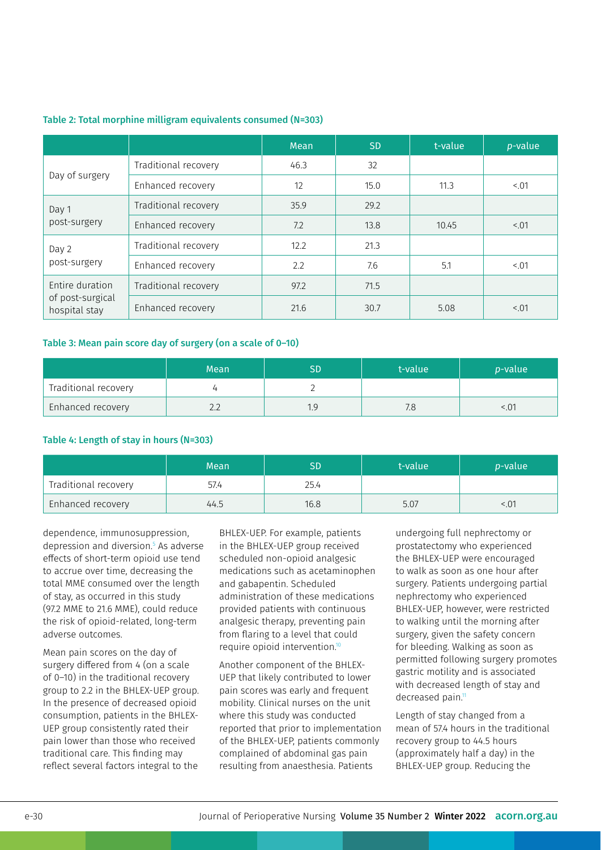#### Table 2: Total morphine milligram equivalents consumed (N=303)

|                                                      |                      | <b>Mean</b> | <b>SD</b> | t-value | p-value |
|------------------------------------------------------|----------------------|-------------|-----------|---------|---------|
| Day of surgery                                       | Traditional recovery | 46.3        | 32        |         |         |
|                                                      | Enhanced recovery    | 12          | 15.0      | 11.3    | 5.01    |
| Day 1<br>post-surgery                                | Traditional recovery | 35.9        | 29.2      |         |         |
|                                                      | Enhanced recovery    | 7.2         | 13.8      | 10.45   | 5.01    |
| Day 2<br>post-surgery                                | Traditional recovery | 12.2        | 21.3      |         |         |
|                                                      | Enhanced recovery    | 2.2         | 7.6       | 5.1     | 5.01    |
| Entire duration<br>of post-surgical<br>hospital stay | Traditional recovery | 97.2        | 71.5      |         |         |
|                                                      | Enhanced recovery    | 21.6        | 30.7      | 5.08    | 5.01    |

#### Table 3: Mean pain score day of surgery (on a scale of 0–10)

|                      | Mean | t-value | <i>p</i> -value |
|----------------------|------|---------|-----------------|
| Traditional recovery |      |         |                 |
| Enhanced recovery    |      |         |                 |

#### Table 4: Length of stay in hours (N=303)

|                      | Mean | SD   | t-value | <i>p</i> -value |
|----------------------|------|------|---------|-----------------|
| Traditional recovery | 57.4 | 25.4 |         |                 |
| Enhanced recovery    | 44.5 | 16.8 | 5.07    |                 |

dependence, immunosuppression, depression and diversion.5 As adverse effects of short-term opioid use tend to accrue over time, decreasing the total MME consumed over the length of stay, as occurred in this study (97.2 MME to 21.6 MME), could reduce the risk of opioid-related, long-term adverse outcomes.

Mean pain scores on the day of surgery differed from 4 (on a scale of 0–10) in the traditional recovery group to 2.2 in the BHLEX-UEP group. In the presence of decreased opioid consumption, patients in the BHLEX-UEP group consistently rated their pain lower than those who received traditional care. This finding may reflect several factors integral to the

BHLEX-UEP. For example, patients in the BHLEX-UEP group received scheduled non-opioid analgesic medications such as acetaminophen and gabapentin. Scheduled administration of these medications provided patients with continuous analgesic therapy, preventing pain from flaring to a level that could require opioid intervention.10

Another component of the BHLEX-UEP that likely contributed to lower pain scores was early and frequent mobility. Clinical nurses on the unit where this study was conducted reported that prior to implementation of the BHLEX-UEP, patients commonly complained of abdominal gas pain resulting from anaesthesia. Patients

undergoing full nephrectomy or prostatectomy who experienced the BHLEX-UEP were encouraged to walk as soon as one hour after surgery. Patients undergoing partial nephrectomy who experienced BHLEX-UEP, however, were restricted to walking until the morning after surgery, given the safety concern for bleeding. Walking as soon as permitted following surgery promotes gastric motility and is associated with decreased length of stay and decreased pain.<sup>11</sup>

Length of stay changed from a mean of 57.4 hours in the traditional recovery group to 44.5 hours (approximately half a day) in the BHLEX-UEP group. Reducing the